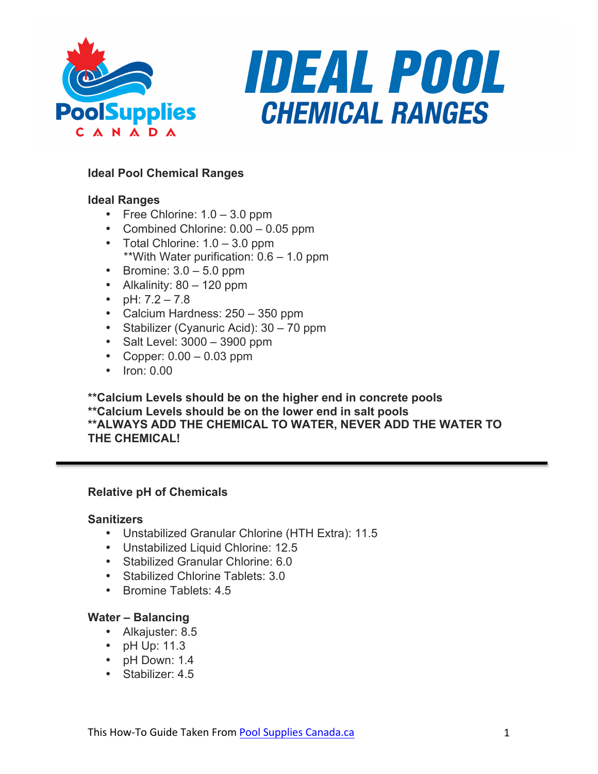



# **Ideal Pool Chemical Ranges**

# **Ideal Ranges**

- Free Chlorine:  $1.0 3.0$  ppm
- Combined Chlorine: 0.00 0.05 ppm
- Total Chlorine: 1.0 3.0 ppm \*\*With Water purification: 0.6 – 1.0 ppm
- Bromine:  $3.0 5.0$  ppm
- Alkalinity:  $80 120$  ppm
- pH:  $7.2 7.8$
- Calcium Hardness: 250 350 ppm
- Stabilizer (Cyanuric Acid): 30 70 ppm
- Salt Level: 3000 3900 ppm
- Copper:  $0.00 0.03$  ppm
- Iron: 0.00

**\*\*Calcium Levels should be on the higher end in concrete pools \*\*Calcium Levels should be on the lower end in salt pools \*\*ALWAYS ADD THE CHEMICAL TO WATER, NEVER ADD THE WATER TO THE CHEMICAL!**

## **Relative pH of Chemicals**

#### **Sanitizers**

- Unstabilized Granular Chlorine (HTH Extra): 11.5
- Unstabilized Liquid Chlorine: 12.5
- Stabilized Granular Chlorine: 6.0
- Stabilized Chlorine Tablets: 3.0
- Bromine Tablets: 4.5

## **Water – Balancing**

- Alkajuster: 8.5
- pH Up: 11.3
- pH Down: 1.4
- Stabilizer: 4.5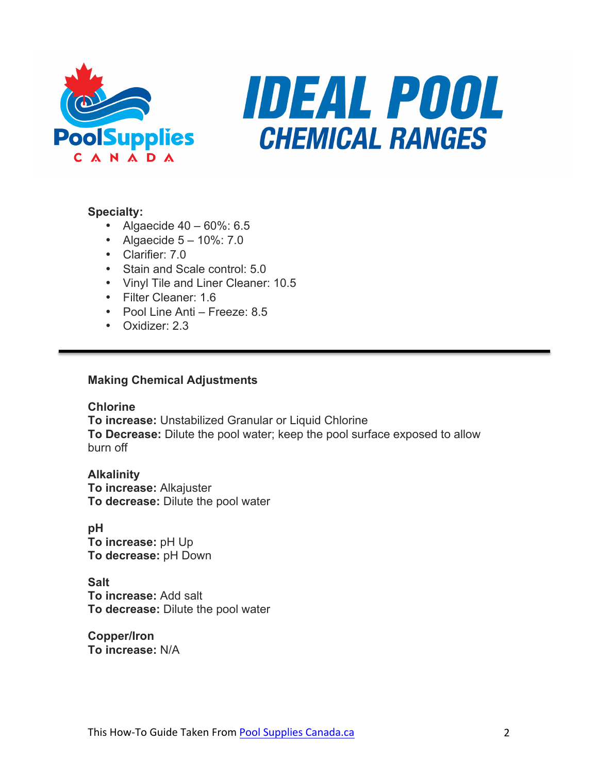



## **Specialty:**

- Algaecide  $40 60\%$ : 6.5
- Algaecide  $5 10\%$ : 7.0
- Clarifier: 7.0
- Stain and Scale control: 5.0
- Vinyl Tile and Liner Cleaner: 10.5
- Filter Cleaner: 1.6
- Pool Line Anti Freeze: 8.5
- Oxidizer: 2.3

## **Making Chemical Adjustments**

**Chlorine**

**To increase:** Unstabilized Granular or Liquid Chlorine **To Decrease:** Dilute the pool water; keep the pool surface exposed to allow burn off

**Alkalinity To increase:** Alkajuster **To decrease:** Dilute the pool water

**pH To increase:** pH Up **To decrease:** pH Down

**Salt To increase:** Add salt **To decrease:** Dilute the pool water

**Copper/Iron To increase:** N/A